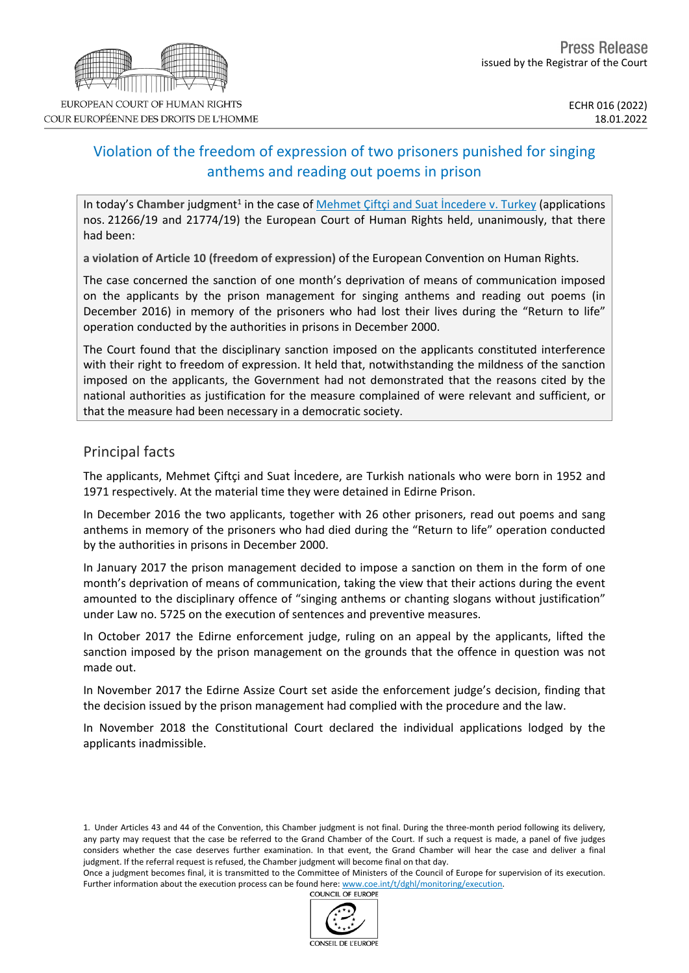# Violation of the freedom of expression of two prisoners punished for singing anthems and reading out poems in prison

In today's Chamber judgment<sup>1</sup> in the case of **Mehmet Çiftçi and Suat [İncedere](https://hudoc.echr.coe.int/eng?i=001-215140) v. Turkey** (applications nos. 21266/19 and 21774/19) the European Court of Human Rights held, unanimously, that there had been:

**a violation of Article 10 (freedom of expression)** of the European Convention on Human Rights.

The case concerned the sanction of one month's deprivation of means of communication imposed on the applicants by the prison management for singing anthems and reading out poems (in December 2016) in memory of the prisoners who had lost their lives during the "Return to life" operation conducted by the authorities in prisons in December 2000.

The Court found that the disciplinary sanction imposed on the applicants constituted interference with their right to freedom of expression. It held that, notwithstanding the mildness of the sanction imposed on the applicants, the Government had not demonstrated that the reasons cited by the national authorities as justification for the measure complained of were relevant and sufficient, or that the measure had been necessary in a democratic society.

## Principal facts

The applicants, Mehmet Çiftçi and Suat İncedere, are Turkish nationals who were born in 1952 and 1971 respectively. At the material time they were detained in Edirne Prison.

In December 2016 the two applicants, together with 26 other prisoners, read out poems and sang anthems in memory of the prisoners who had died during the "Return to life" operation conducted by the authorities in prisons in December 2000.

In January 2017 the prison management decided to impose a sanction on them in the form of one month's deprivation of means of communication, taking the view that their actions during the event amounted to the disciplinary offence of "singing anthems or chanting slogans without justification" under Law no. 5725 on the execution of sentences and preventive measures.

In October 2017 the Edirne enforcement judge, ruling on an appeal by the applicants, lifted the sanction imposed by the prison management on the grounds that the offence in question was not made out.

In November 2017 the Edirne Assize Court set aside the enforcement judge's decision, finding that the decision issued by the prison management had complied with the procedure and the law.

In November 2018 the Constitutional Court declared the individual applications lodged by the applicants inadmissible.

Once a judgment becomes final, it is transmitted to the Committee of Ministers of the Council of Europe for supervision of its execution. Further information about the execution process can be found here: [www.coe.int/t/dghl/monitoring/execution](http://www.coe.int/t/dghl/monitoring/execution). COUNCIL OF EUROPE





<sup>1.</sup> Under Articles 43 and 44 of the Convention, this Chamber judgment is not final. During the three-month period following its delivery, any party may request that the case be referred to the Grand Chamber of the Court. If such a request is made, a panel of five judges considers whether the case deserves further examination. In that event, the Grand Chamber will hear the case and deliver a final judgment. If the referral request is refused, the Chamber judgment will become final on that day.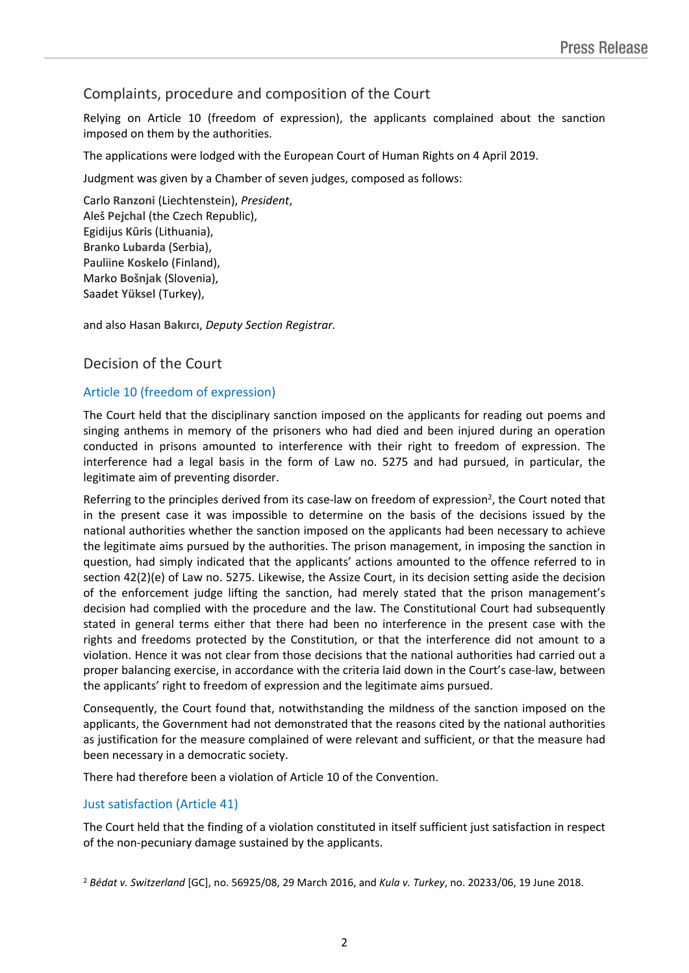## Complaints, procedure and composition of the Court

Relying on Article 10 (freedom of expression), the applicants complained about the sanction imposed on them by the authorities.

The applications were lodged with the European Court of Human Rights on 4 April 2019.

Judgment was given by a Chamber of seven judges, composed as follows:

Carlo **Ranzoni** (Liechtenstein), *President*, Aleš **Pejchal** (the Czech Republic), Egidijus **Kūris** (Lithuania), Branko **Lubarda** (Serbia), Pauliine **Koskelo** (Finland), Marko **Bošnjak** (Slovenia), Saadet **Yüksel** (Turkey),

and also Hasan **Bakırcı**, *Deputy Section Registrar.*

## Decision of the Court

#### Article 10 (freedom of expression)

The Court held that the disciplinary sanction imposed on the applicants for reading out poems and singing anthems in memory of the prisoners who had died and been injured during an operation conducted in prisons amounted to interference with their right to freedom of expression. The interference had a legal basis in the form of Law no. 5275 and had pursued, in particular, the legitimate aim of preventing disorder.

Referring to the principles derived from its case-law on freedom of expression<sup>2</sup>, the Court noted that in the present case it was impossible to determine on the basis of the decisions issued by the national authorities whether the sanction imposed on the applicants had been necessary to achieve the legitimate aims pursued by the authorities. The prison management, in imposing the sanction in question, had simply indicated that the applicants' actions amounted to the offence referred to in section 42(2)(e) of Law no. 5275. Likewise, the Assize Court, in its decision setting aside the decision of the enforcement judge lifting the sanction, had merely stated that the prison management's decision had complied with the procedure and the law. The Constitutional Court had subsequently stated in general terms either that there had been no interference in the present case with the rights and freedoms protected by the Constitution, or that the interference did not amount to a violation. Hence it was not clear from those decisions that the national authorities had carried out a proper balancing exercise, in accordance with the criteria laid down in the Court's case-law, between the applicants' right to freedom of expression and the legitimate aims pursued.

Consequently, the Court found that, notwithstanding the mildness of the sanction imposed on the applicants, the Government had not demonstrated that the reasons cited by the national authorities as justification for the measure complained of were relevant and sufficient, or that the measure had been necessary in a democratic society.

There had therefore been a violation of Article 10 of the Convention.

#### Just satisfaction (Article 41)

The Court held that the finding of a violation constituted in itself sufficient just satisfaction in respect of the non-pecuniary damage sustained by the applicants.

<sup>2</sup> *Bédat v. Switzerland* [GC], no. 56925/08, 29 March 2016, and *Kula v. Turkey*, no. 20233/06, 19 June 2018.